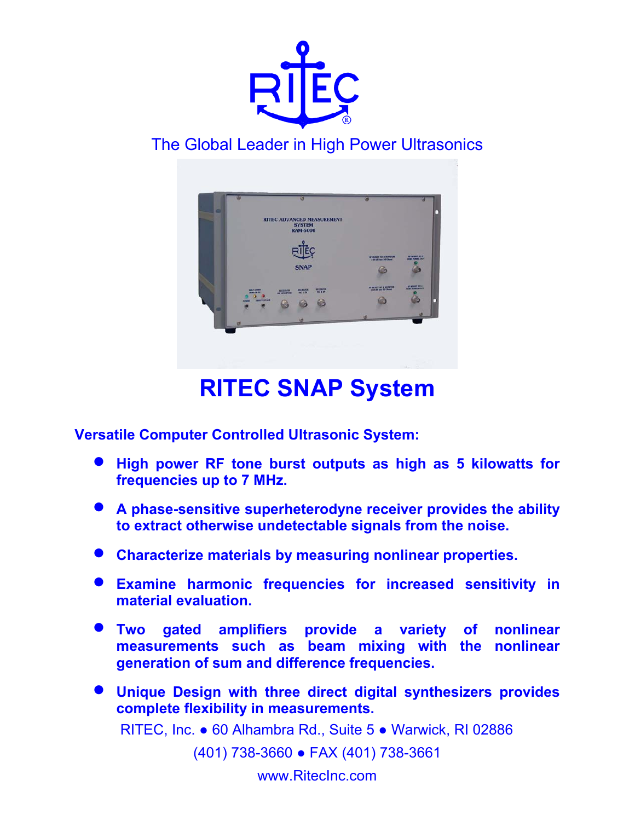

# The Global Leader in High Power Ultrasonics



# **RITEC SNAP System**

**Versatile Computer Controlled Ultrasonic System:** 

- **High power RF tone burst outputs as high as 5 kilowatts for frequencies up to 7 MHz.**
- **A phase-sensitive superheterodyne receiver provides the ability to extract otherwise undetectable signals from the noise.**
- **Characterize materials by measuring nonlinear properties.**
- **Examine harmonic frequencies for increased sensitivity in material evaluation.**
- **Two gated amplifiers provide a variety of nonlinear measurements such as beam mixing with the nonlinear generation of sum and difference frequencies.**
- RITEC, Inc. 60 Alhambra Rd., Suite 5 Warwick, RI 02886 • **Unique Design with three direct digital synthesizers provides complete flexibility in measurements.**

(401) 738-3660 ● FAX (401) 738-3661

www.RitecInc.com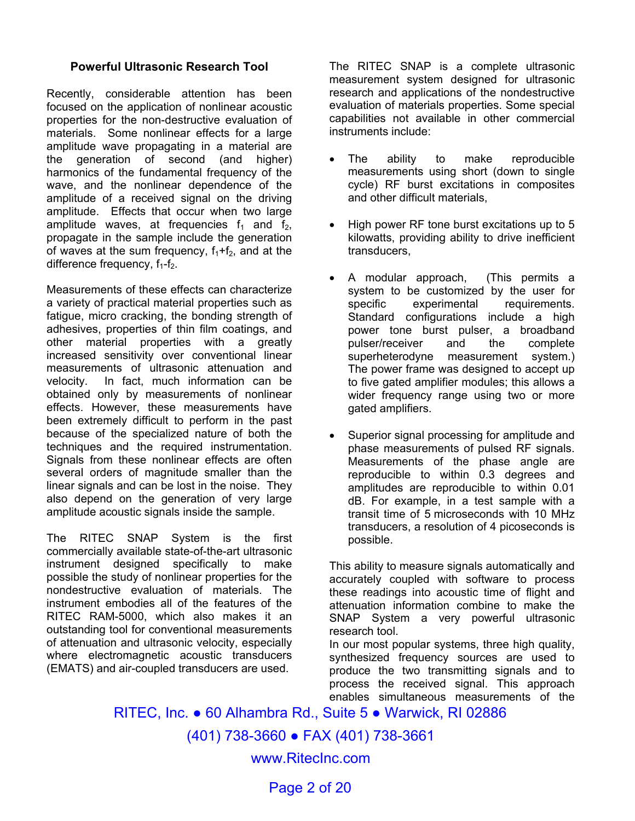#### **Powerful Ultrasonic Research Tool**

Recently, considerable attention has been focused on the application of nonlinear acoustic properties for the non-destructive evaluation of materials. Some nonlinear effects for a large amplitude wave propagating in a material are the generation of second (and higher) harmonics of the fundamental frequency of the wave, and the nonlinear dependence of the amplitude of a received signal on the driving amplitude. Effects that occur when two large amplitude waves, at frequencies  $f_1$  and  $f_2$ , propagate in the sample include the generation of waves at the sum frequency,  $f_1+f_2$ , and at the difference frequency,  $f_1 - f_2$ .

Measurements of these effects can characterize a variety of practical material properties such as fatigue, micro cracking, the bonding strength of adhesives, properties of thin film coatings, and other material properties with a greatly increased sensitivity over conventional linear measurements of ultrasonic attenuation and velocity. In fact, much information can be obtained only by measurements of nonlinear effects. However, these measurements have been extremely difficult to perform in the past because of the specialized nature of both the techniques and the required instrumentation. Signals from these nonlinear effects are often several orders of magnitude smaller than the linear signals and can be lost in the noise. They also depend on the generation of very large amplitude acoustic signals inside the sample.

The RITEC SNAP System is the first commercially available state-of-the-art ultrasonic instrument designed specifically to make possible the study of nonlinear properties for the nondestructive evaluation of materials. The instrument embodies all of the features of the RITEC RAM-5000, which also makes it an outstanding tool for conventional measurements of attenuation and ultrasonic velocity, especially where electromagnetic acoustic transducers (EMATS) and air-coupled transducers are used.

The RITEC SNAP is a complete ultrasonic measurement system designed for ultrasonic research and applications of the nondestructive evaluation of materials properties. Some special capabilities not available in other commercial instruments include:

- The ability to make reproducible measurements using short (down to single cycle) RF burst excitations in composites and other difficult materials,
- High power RF tone burst excitations up to 5 kilowatts, providing ability to drive inefficient transducers,
- A modular approach, (This permits a system to be customized by the user for specific experimental requirements. Standard configurations include a high power tone burst pulser, a broadband pulser/receiver and the complete superheterodyne measurement system.) The power frame was designed to accept up to five gated amplifier modules; this allows a wider frequency range using two or more gated amplifiers.
- Superior signal processing for amplitude and phase measurements of pulsed RF signals. Measurements of the phase angle are reproducible to within 0.3 degrees and amplitudes are reproducible to within 0.01 dB. For example, in a test sample with a transit time of 5 microseconds with 10 MHz transducers, a resolution of 4 picoseconds is possible.

This ability to measure signals automatically and accurately coupled with software to process these readings into acoustic time of flight and attenuation information combine to make the SNAP System a very powerful ultrasonic research tool.

In our most popular systems, three high quality, synthesized frequency sources are used to produce the two transmitting signals and to process the received signal. This approach enables simultaneous measurements of the

RITEC, Inc. ● 60 Alhambra Rd., Suite 5 ● Warwick, RI 02886

(401) 738-3660 ● FAX (401) 738-3661

www.RitecInc.com

Page 2 of 20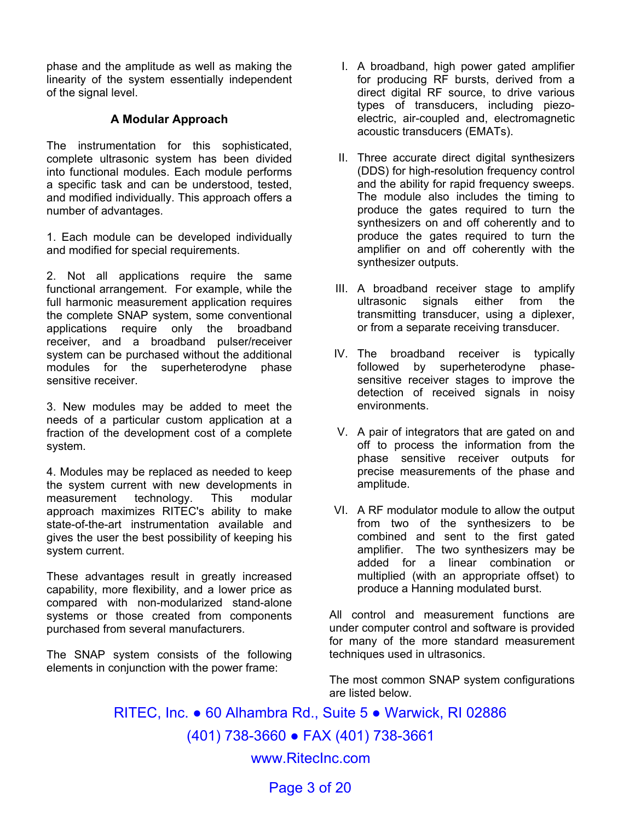phase and the amplitude as well as making the linearity of the system essentially independent of the signal level.

#### **A Modular Approach**

The instrumentation for this sophisticated, complete ultrasonic system has been divided into functional modules. Each module performs a specific task and can be understood, tested, and modified individually. This approach offers a number of advantages.

1. Each module can be developed individually and modified for special requirements.

2. Not all applications require the same functional arrangement. For example, while the full harmonic measurement application requires the complete SNAP system, some conventional applications require only the broadband receiver, and a broadband pulser/receiver system can be purchased without the additional modules for the superheterodyne phase sensitive receiver.

3. New modules may be added to meet the needs of a particular custom application at a fraction of the development cost of a complete system.

4. Modules may be replaced as needed to keep the system current with new developments in measurement technology. This modular approach maximizes RITEC's ability to make state-of-the-art instrumentation available and gives the user the best possibility of keeping his system current.

These advantages result in greatly increased capability, more flexibility, and a lower price as compared with non-modularized stand-alone systems or those created from components purchased from several manufacturers.

The SNAP system consists of the following elements in conjunction with the power frame:

- I. A broadband, high power gated amplifier for producing RF bursts, derived from a direct digital RF source, to drive various types of transducers, including piezoelectric, air-coupled and, electromagnetic acoustic transducers (EMATs).
- II. Three accurate direct digital synthesizers (DDS) for high-resolution frequency control and the ability for rapid frequency sweeps. The module also includes the timing to produce the gates required to turn the synthesizers on and off coherently and to produce the gates required to turn the amplifier on and off coherently with the synthesizer outputs.
- III. A broadband receiver stage to amplify ultrasonic signals either from the transmitting transducer, using a diplexer, or from a separate receiving transducer.
- IV. The broadband receiver is typically followed by superheterodyne phasesensitive receiver stages to improve the detection of received signals in noisy environments.
- V. A pair of integrators that are gated on and off to process the information from the phase sensitive receiver outputs for precise measurements of the phase and amplitude.
- VI. A RF modulator module to allow the output from two of the synthesizers to be combined and sent to the first gated amplifier. The two synthesizers may be added for a linear combination or multiplied (with an appropriate offset) to produce a Hanning modulated burst.

All control and measurement functions are under computer control and software is provided for many of the more standard measurement techniques used in ultrasonics.

The most common SNAP system configurations are listed below.

RITEC, Inc. ● 60 Alhambra Rd., Suite 5 ● Warwick, RI 02886 (401) 738-3660 ● FAX (401) 738-3661 www.RitecInc.com

Page 3 of 20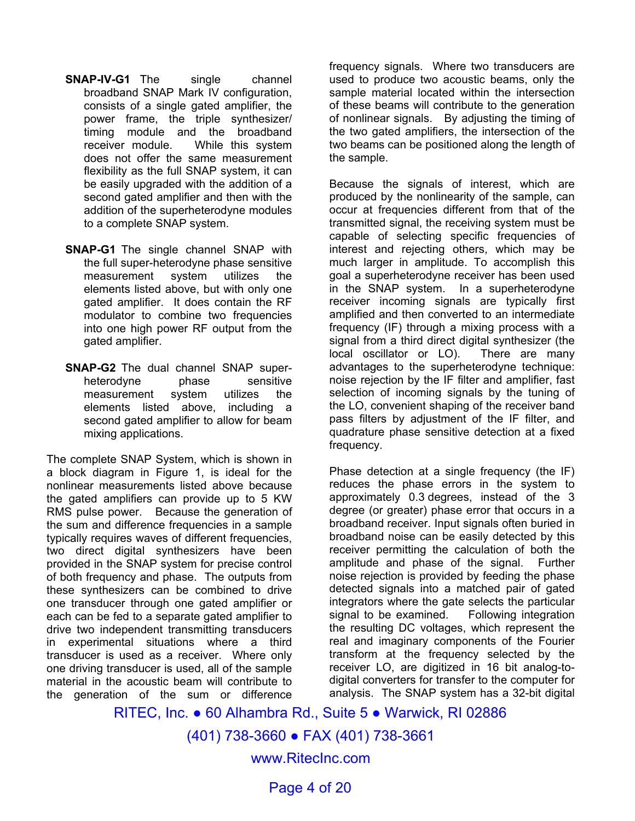- **SNAP-IV-G1** The single channel broadband SNAP Mark IV configuration, consists of a single gated amplifier, the power frame, the triple synthesizer/ timing module and the broadband receiver module. While this system does not offer the same measurement flexibility as the full SNAP system, it can be easily upgraded with the addition of a second gated amplifier and then with the addition of the superheterodyne modules to a complete SNAP system.
- **SNAP-G1** The single channel SNAP with the full super-heterodyne phase sensitive measurement system utilizes the elements listed above, but with only one gated amplifier. It does contain the RF modulator to combine two frequencies into one high power RF output from the gated amplifier.
- **SNAP-G2** The dual channel SNAP superheterodyne phase sensitive measurement system utilizes the elements listed above, including a second gated amplifier to allow for beam mixing applications.

The complete SNAP System, which is shown in a block diagram in Figure 1, is ideal for the nonlinear measurements listed above because the gated amplifiers can provide up to 5 KW RMS pulse power. Because the generation of the sum and difference frequencies in a sample typically requires waves of different frequencies, two direct digital synthesizers have been provided in the SNAP system for precise control of both frequency and phase. The outputs from these synthesizers can be combined to drive one transducer through one gated amplifier or each can be fed to a separate gated amplifier to drive two independent transmitting transducers in experimental situations where a third transducer is used as a receiver. Where only one driving transducer is used, all of the sample material in the acoustic beam will contribute to the generation of the sum or difference

frequency signals. Where two transducers are used to produce two acoustic beams, only the sample material located within the intersection of these beams will contribute to the generation of nonlinear signals. By adjusting the timing of the two gated amplifiers, the intersection of the two beams can be positioned along the length of the sample.

Because the signals of interest, which are produced by the nonlinearity of the sample, can occur at frequencies different from that of the transmitted signal, the receiving system must be capable of selecting specific frequencies of interest and rejecting others, which may be much larger in amplitude. To accomplish this goal a superheterodyne receiver has been used in the SNAP system. In a superheterodyne receiver incoming signals are typically first amplified and then converted to an intermediate frequency (IF) through a mixing process with a signal from a third direct digital synthesizer (the local oscillator or LO). There are many advantages to the superheterodyne technique: noise rejection by the IF filter and amplifier, fast selection of incoming signals by the tuning of the LO, convenient shaping of the receiver band pass filters by adjustment of the IF filter, and quadrature phase sensitive detection at a fixed frequency.

Phase detection at a single frequency (the IF) reduces the phase errors in the system to approximately 0.3 degrees, instead of the 3 degree (or greater) phase error that occurs in a broadband receiver. Input signals often buried in broadband noise can be easily detected by this receiver permitting the calculation of both the amplitude and phase of the signal. Further noise rejection is provided by feeding the phase detected signals into a matched pair of gated integrators where the gate selects the particular signal to be examined. Following integration the resulting DC voltages, which represent the real and imaginary components of the Fourier transform at the frequency selected by the receiver LO, are digitized in 16 bit analog-todigital converters for transfer to the computer for analysis. The SNAP system has a 32-bit digital

RITEC, Inc. ● 60 Alhambra Rd., Suite 5 ● Warwick, RI 02886

(401) 738-3660 ● FAX (401) 738-3661

www.RitecInc.com

Page 4 of 20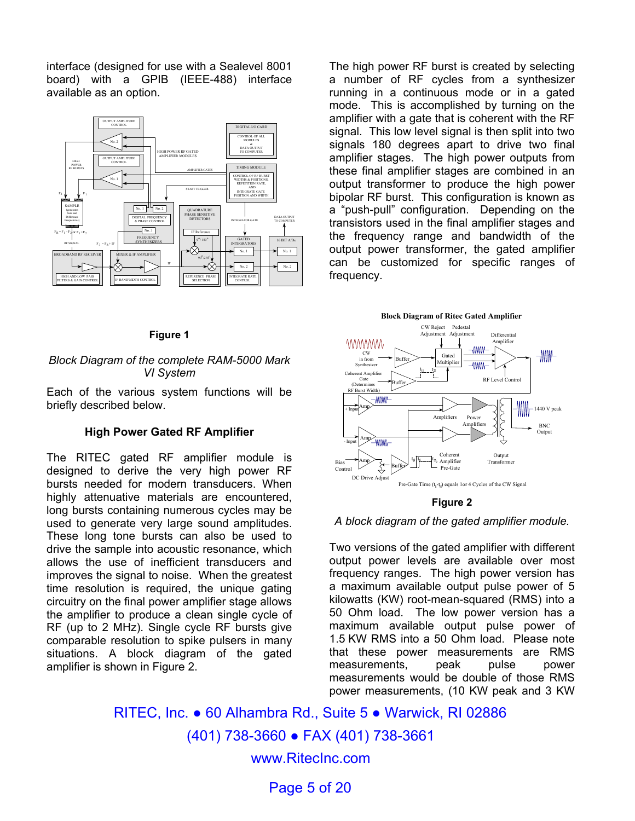interface (designed for use with a Sealevel 8001 board) with a GPIB (IEEE-488) interface available as an option.



The high power RF burst is created by selecting a number of RF cycles from a synthesizer running in a continuous mode or in a gated mode. This is accomplished by turning on the amplifier with a gate that is coherent with the RF signal. This low level signal is then split into two signals 180 degrees apart to drive two final amplifier stages. The high power outputs from these final amplifier stages are combined in an output transformer to produce the high power bipolar RF burst. This configuration is known as a "push-pull" configuration. Depending on the transistors used in the final amplifier stages and the frequency range and bandwidth of the output power transformer, the gated amplifier can be customized for specific ranges of frequency.

#### **Figure 1**

#### *Block Diagram of the complete RAM-5000 Mark VI System*

Each of the various system functions will be briefly described below.

#### **High Power Gated RF Amplifier**

The RITEC gated RF amplifier module is designed to derive the very high power RF bursts needed for modern transducers. When highly attenuative materials are encountered, long bursts containing numerous cycles may be used to generate very large sound amplitudes. These long tone bursts can also be used to drive the sample into acoustic resonance, which allows the use of inefficient transducers and improves the signal to noise. When the greatest time resolution is required, the unique gating circuitry on the final power amplifier stage allows the amplifier to produce a clean single cycle of RF (up to 2 MHz). Single cycle RF bursts give comparable resolution to spike pulsers in many situations. A block diagram of the gated amplifier is shown in Figure 2.



#### **Figure 2**

#### *A block diagram of the gated amplifier module.*

Two versions of the gated amplifier with different output power levels are available over most frequency ranges. The high power version has a maximum available output pulse power of 5 kilowatts (KW) root-mean-squared (RMS) into a 50 Ohm load. The low power version has a maximum available output pulse power of 1.5 KW RMS into a 50 Ohm load. Please note that these power measurements are RMS measurements, peak pulse power measurements would be double of those RMS power measurements, (10 KW peak and 3 KW

RITEC, Inc. ● 60 Alhambra Rd., Suite 5 ● Warwick, RI 02886 (401) 738-3660 ● FAX (401) 738-3661 www.RitecInc.com

Page 5 of 20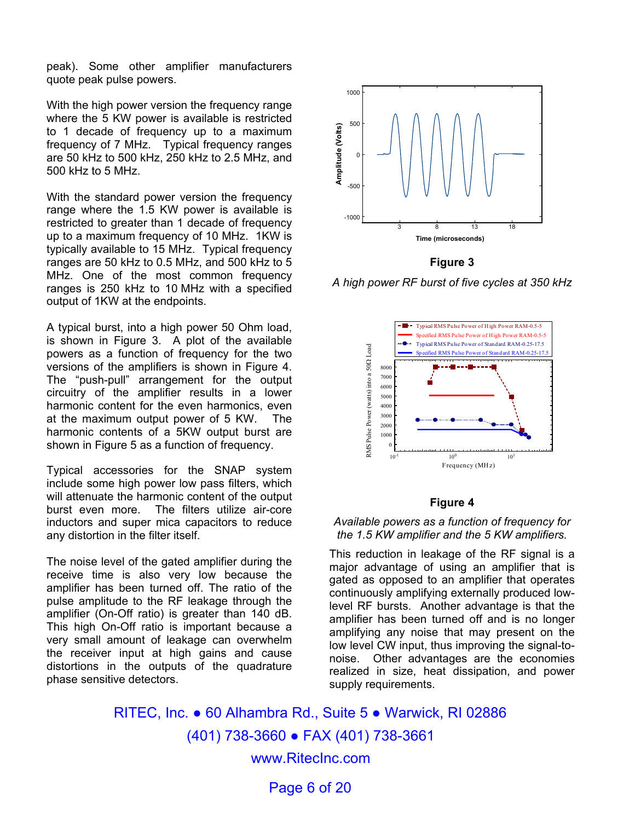peak). Some other amplifier manufacturers quote peak pulse powers.

With the high power version the frequency range where the 5 KW power is available is restricted to 1 decade of frequency up to a maximum frequency of 7 MHz. Typical frequency ranges are 50 kHz to 500 kHz, 250 kHz to 2.5 MHz, and 500 kHz to 5 MHz.

With the standard power version the frequency range where the 1.5 KW power is available is restricted to greater than 1 decade of frequency up to a maximum frequency of 10 MHz. 1KW is typically available to 15 MHz. Typical frequency ranges are 50 kHz to 0.5 MHz, and 500 kHz to 5 MHz. One of the most common frequency ranges is 250 kHz to 10 MHz with a specified output of 1KW at the endpoints.

A typical burst, into a high power 50 Ohm load, is shown in Figure 3. A plot of the available powers as a function of frequency for the two versions of the amplifiers is shown in Figure 4. The "push-pull" arrangement for the output circuitry of the amplifier results in a lower harmonic content for the even harmonics, even at the maximum output power of 5 KW. The harmonic contents of a 5KW output burst are shown in Figure 5 as a function of frequency.

Typical accessories for the SNAP system include some high power low pass filters, which will attenuate the harmonic content of the output burst even more. The filters utilize air-core inductors and super mica capacitors to reduce any distortion in the filter itself.

The noise level of the gated amplifier during the receive time is also very low because the amplifier has been turned off. The ratio of the pulse amplitude to the RF leakage through the amplifier (On-Off ratio) is greater than 140 dB. This high On-Off ratio is important because a very small amount of leakage can overwhelm the receiver input at high gains and cause distortions in the outputs of the quadrature phase sensitive detectors.



**Figure 3** 

*A high power RF burst of five cycles at 350 kHz* 



#### **Figure 4**

#### *Available powers as a function of frequency for the 1.5 KW amplifier and the 5 KW amplifiers.*

This reduction in leakage of the RF signal is a major advantage of using an amplifier that is gated as opposed to an amplifier that operates continuously amplifying externally produced lowlevel RF bursts. Another advantage is that the amplifier has been turned off and is no longer amplifying any noise that may present on the low level CW input, thus improving the signal-tonoise. Other advantages are the economies realized in size, heat dissipation, and power supply requirements.

RITEC, Inc. ● 60 Alhambra Rd., Suite 5 ● Warwick, RI 02886 (401) 738-3660 ● FAX (401) 738-3661 www.RitecInc.com

Page 6 of 20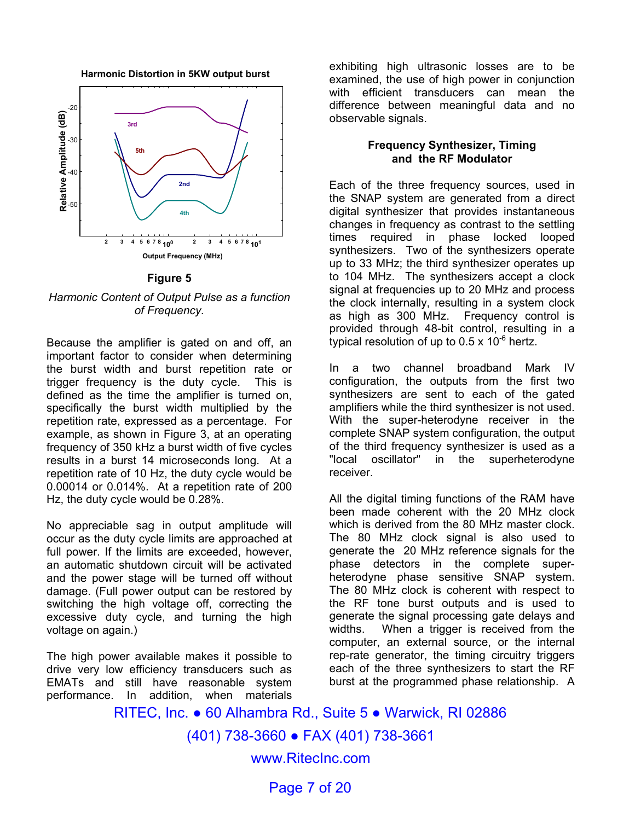**Harmonic Distortion in 5KW output burst**



#### **Figure 5**

*Harmonic Content of Output Pulse as a function of Frequency.*

Because the amplifier is gated on and off, an important factor to consider when determining the burst width and burst repetition rate or trigger frequency is the duty cycle. This is defined as the time the amplifier is turned on, specifically the burst width multiplied by the repetition rate, expressed as a percentage. For example, as shown in Figure 3, at an operating frequency of 350 kHz a burst width of five cycles results in a burst 14 microseconds long. At a repetition rate of 10 Hz, the duty cycle would be 0.00014 or 0.014%. At a repetition rate of 200 Hz, the duty cycle would be 0.28%.

No appreciable sag in output amplitude will occur as the duty cycle limits are approached at full power. If the limits are exceeded, however, an automatic shutdown circuit will be activated and the power stage will be turned off without damage. (Full power output can be restored by switching the high voltage off, correcting the excessive duty cycle, and turning the high voltage on again.)

The high power available makes it possible to drive very low efficiency transducers such as EMATs and still have reasonable system performance. In addition, when materials

exhibiting high ultrasonic losses are to be examined, the use of high power in conjunction with efficient transducers can mean the difference between meaningful data and no observable signals.

#### **Frequency Synthesizer, Timing and the RF Modulator**

Each of the three frequency sources, used in the SNAP system are generated from a direct digital synthesizer that provides instantaneous changes in frequency as contrast to the settling times required in phase locked looped synthesizers. Two of the synthesizers operate up to 33 MHz; the third synthesizer operates up to 104 MHz. The synthesizers accept a clock signal at frequencies up to 20 MHz and process the clock internally, resulting in a system clock as high as 300 MHz. Frequency control is provided through 48-bit control, resulting in a typical resolution of up to  $0.5 \times 10^{-6}$  hertz.

In a two channel broadband Mark IV configuration, the outputs from the first two synthesizers are sent to each of the gated amplifiers while the third synthesizer is not used. With the super-heterodyne receiver in the complete SNAP system configuration, the output of the third frequency synthesizer is used as a "local oscillator" in the superheterodyne receiver.

All the digital timing functions of the RAM have been made coherent with the 20 MHz clock which is derived from the 80 MHz master clock. The 80 MHz clock signal is also used to generate the 20 MHz reference signals for the phase detectors in the complete superheterodyne phase sensitive SNAP system. The 80 MHz clock is coherent with respect to the RF tone burst outputs and is used to generate the signal processing gate delays and widths. When a trigger is received from the computer, an external source, or the internal rep-rate generator, the timing circuitry triggers each of the three synthesizers to start the RF burst at the programmed phase relationship. A

RITEC, Inc. ● 60 Alhambra Rd., Suite 5 ● Warwick, RI 02886 (401) 738-3660 ● FAX (401) 738-3661 www.RitecInc.com

Page 7 of 20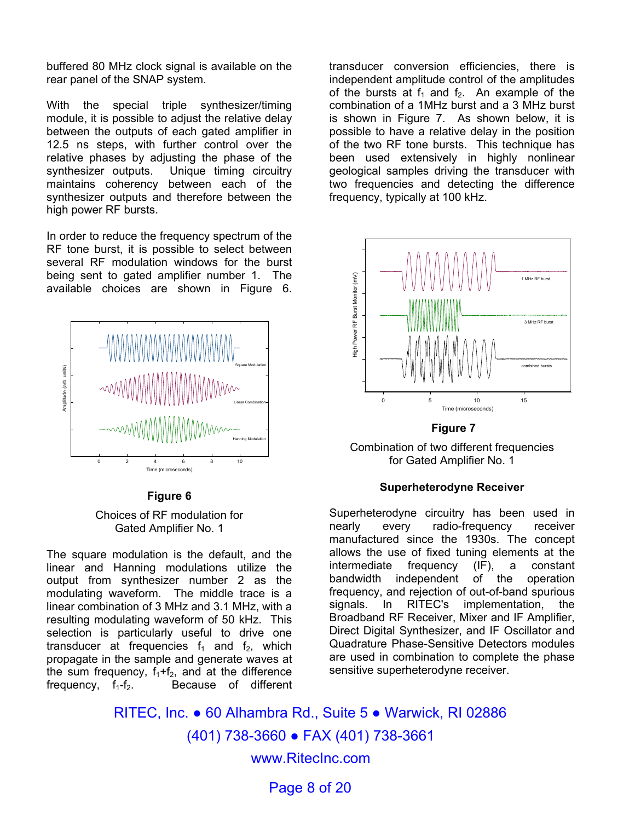buffered 80 MHz clock signal is available on the rear panel of the SNAP system.

With the special triple synthesizer/timing module, it is possible to adjust the relative delay between the outputs of each gated amplifier in 12.5 ns steps, with further control over the relative phases by adjusting the phase of the synthesizer outputs. Unique timing circuitry maintains coherency between each of the synthesizer outputs and therefore between the high power RF bursts.

In order to reduce the frequency spectrum of the RF tone burst, it is possible to select between several RF modulation windows for the burst being sent to gated amplifier number 1. The available choices are shown in Figure 6.



#### **Figure 6**

#### Choices of RF modulation for Gated Amplifier No. 1

The square modulation is the default, and the linear and Hanning modulations utilize the output from synthesizer number 2 as the modulating waveform. The middle trace is a linear combination of 3 MHz and 3.1 MHz, with a resulting modulating waveform of 50 kHz. This selection is particularly useful to drive one transducer at frequencies  $f_1$  and  $f_2$ , which propagate in the sample and generate waves at the sum frequency,  $f_1+f_2$ , and at the difference frequency,  $f_1-f_2$ . Because of different Because of different

transducer conversion efficiencies, there is independent amplitude control of the amplitudes of the bursts at  $f_1$  and  $f_2$ . An example of the combination of a 1MHz burst and a 3 MHz burst is shown in Figure 7. As shown below, it is possible to have a relative delay in the position of the two RF tone bursts. This technique has been used extensively in highly nonlinear geological samples driving the transducer with two frequencies and detecting the difference frequency, typically at 100 kHz.



#### **Figure 7**

Combination of two different frequencies for Gated Amplifier No. 1

#### **Superheterodyne Receiver**

Superheterodyne circuitry has been used in nearly every radio-frequency receiver manufactured since the 1930s. The concept allows the use of fixed tuning elements at the intermediate frequency (IF), a constant bandwidth independent of the operation frequency, and rejection of out-of-band spurious signals. In RITEC's implementation, Broadband RF Receiver, Mixer and IF Amplifier, Direct Digital Synthesizer, and IF Oscillator and Quadrature Phase-Sensitive Detectors modules are used in combination to complete the phase sensitive superheterodyne receiver.

RITEC, Inc. ● 60 Alhambra Rd., Suite 5 ● Warwick, RI 02886 (401) 738-3660 ● FAX (401) 738-3661 www.RitecInc.com

Page 8 of 20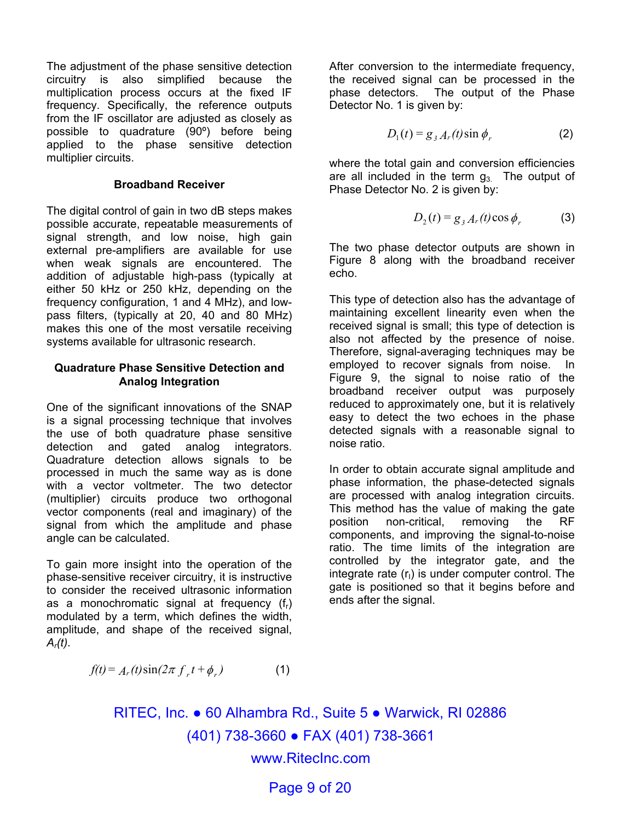The adjustment of the phase sensitive detection circuitry is also simplified because the multiplication process occurs at the fixed IF frequency. Specifically, the reference outputs from the IF oscillator are adjusted as closely as possible to quadrature (90º) before being applied to the phase sensitive detection multiplier circuits.

#### **Broadband Receiver**

The digital control of gain in two dB steps makes possible accurate, repeatable measurements of signal strength, and low noise, high gain external pre-amplifiers are available for use when weak signals are encountered. The addition of adjustable high-pass (typically at either 50 kHz or 250 kHz, depending on the frequency configuration, 1 and 4 MHz), and lowpass filters, (typically at 20, 40 and 80 MHz) makes this one of the most versatile receiving systems available for ultrasonic research.

#### **Quadrature Phase Sensitive Detection and Analog Integration**

One of the significant innovations of the SNAP is a signal processing technique that involves the use of both quadrature phase sensitive detection and gated analog integrators. Quadrature detection allows signals to be processed in much the same way as is done with a vector voltmeter. The two detector (multiplier) circuits produce two orthogonal vector components (real and imaginary) of the signal from which the amplitude and phase angle can be calculated.

To gain more insight into the operation of the phase-sensitive receiver circuitry, it is instructive to consider the received ultrasonic information as a monochromatic signal at frequency  $(f_r)$ modulated by a term, which defines the width, amplitude, and shape of the received signal, *Ar(t)*.

After conversion to the intermediate frequency, the received signal can be processed in the phase detectors. The output of the Phase Detector No. 1 is given by:

$$
D_1(t) = g_{3A_r}(t)\sin\phi_r
$$
 (2)

where the total gain and conversion efficiencies are all included in the term  $g_3$ . The output of Phase Detector No. 2 is given by:

$$
D_2(t) = g_3 A_r(t) \cos \phi_r
$$
 (3)

The two phase detector outputs are shown in Figure 8 along with the broadband receiver echo.

This type of detection also has the advantage of maintaining excellent linearity even when the received signal is small; this type of detection is also not affected by the presence of noise. Therefore, signal-averaging techniques may be employed to recover signals from noise. In Figure 9, the signal to noise ratio of the broadband receiver output was purposely reduced to approximately one, but it is relatively easy to detect the two echoes in the phase detected signals with a reasonable signal to noise ratio.

In order to obtain accurate signal amplitude and phase information, the phase-detected signals are processed with analog integration circuits. This method has the value of making the gate position non-critical, removing the RF components, and improving the signal-to-noise ratio. The time limits of the integration are controlled by the integrator gate, and the integrate rate  $(r<sub>1</sub>)$  is under computer control. The gate is positioned so that it begins before and ends after the signal.

$$
f(t) = Ar(t)sin(2\pi fr t + \phir)
$$
 (1)

RITEC, Inc. ● 60 Alhambra Rd., Suite 5 ● Warwick, RI 02886 (401) 738-3660 ● FAX (401) 738-3661 www.RitecInc.com

Page 9 of 20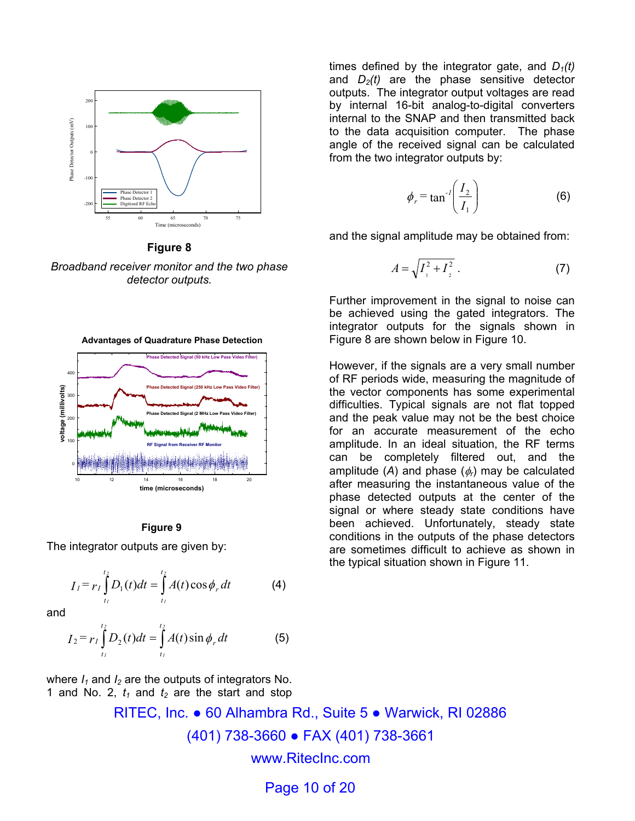

**Figure 8** *Broadband receiver monitor and the two phase detector outputs.* 



The integrator outputs are given by:

$$
I_1 = r_1 \int_{t_1}^{t_2} D_1(t) dt = \int_{t_1}^{t_2} A(t) \cos \phi_r dt
$$
 (4)

and

$$
I_2 = r_I \int_{t_I}^{t_2} D_2(t) dt = \int_{t_I}^{t_2} A(t) \sin \phi_r dt
$$
 (5)

where  $I_1$  and  $I_2$  are the outputs of integrators No. 1 and No. 2,  $t_1$  and  $t_2$  are the start and stop times defined by the integrator gate, and  $D_1(t)$ and  $D_2(t)$  are the phase sensitive detector outputs. The integrator output voltages are read by internal 16-bit analog-to-digital converters internal to the SNAP and then transmitted back to the data acquisition computer. The phase angle of the received signal can be calculated from the two integrator outputs by:

$$
\phi_r = \tan^{-1}\left(\frac{I_2}{I_1}\right) \tag{6}
$$

and the signal amplitude may be obtained from:

$$
A = \sqrt{I_1^2 + I_2^2} \ . \tag{7}
$$

Further improvement in the signal to noise can be achieved using the gated integrators. The integrator outputs for the signals shown in Figure 8 are shown below in Figure 10.

However, if the signals are a very small number of RF periods wide, measuring the magnitude of the vector components has some experimental difficulties. Typical signals are not flat topped and the peak value may not be the best choice for an accurate measurement of the echo amplitude. In an ideal situation, the RF terms can be completely filtered out, and the amplitude  $(A)$  and phase  $(\phi_r)$  may be calculated after measuring the instantaneous value of the phase detected outputs at the center of the signal or where steady state conditions have been achieved. Unfortunately, steady state conditions in the outputs of the phase detectors are sometimes difficult to achieve as shown in the typical situation shown in Figure 11.

RITEC, Inc. ● 60 Alhambra Rd., Suite 5 ● Warwick, RI 02886 (401) 738-3660 ● FAX (401) 738-3661 www.RitecInc.com

Page 10 of 20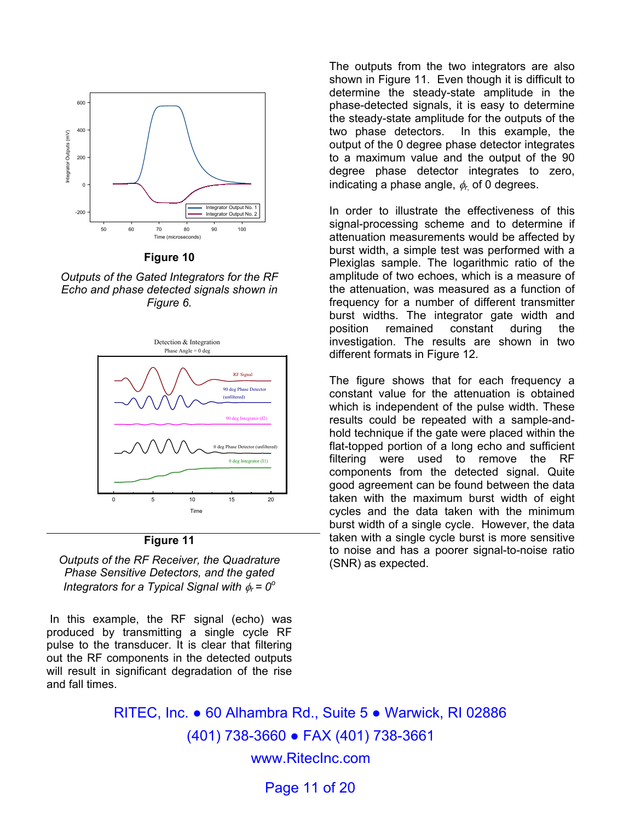

**Figure 10** 

*Outputs of the Gated Integrators for the RF Echo and phase detected signals shown in Figure 6.* 



*Outputs of the RF Receiver, the Quadrature Phase Sensitive Detectors, and the gated Integrators for a Typical Signal with* φ*r = 0<sup>o</sup>*

 In this example, the RF signal (echo) was produced by transmitting a single cycle RF pulse to the transducer. It is clear that filtering out the RF components in the detected outputs will result in significant degradation of the rise and fall times.

The outputs from the two integrators are also shown in Figure 11. Even though it is difficult to determine the steady-state amplitude in the phase-detected signals, it is easy to determine the steady-state amplitude for the outputs of the two phase detectors. In this example, the output of the 0 degree phase detector integrates to a maximum value and the output of the 90 degree phase detector integrates to zero, indicating a phase angle, φ*r*, of 0 degrees.

In order to illustrate the effectiveness of this signal-processing scheme and to determine if attenuation measurements would be affected by burst width, a simple test was performed with a Plexiglas sample. The logarithmic ratio of the amplitude of two echoes, which is a measure of the attenuation, was measured as a function of frequency for a number of different transmitter burst widths. The integrator gate width and position remained constant during the investigation. The results are shown in two different formats in Figure 12.

The figure shows that for each frequency a constant value for the attenuation is obtained which is independent of the pulse width. These results could be repeated with a sample-andhold technique if the gate were placed within the flat-topped portion of a long echo and sufficient filtering were used to remove the RF components from the detected signal. Quite good agreement can be found between the data taken with the maximum burst width of eight cycles and the data taken with the minimum burst width of a single cycle. However, the data taken with a single cycle burst is more sensitive to noise and has a poorer signal-to-noise ratio (SNR) as expected.

RITEC, Inc. ● 60 Alhambra Rd., Suite 5 ● Warwick, RI 02886 (401) 738-3660 ● FAX (401) 738-3661 www.RitecInc.com

Page 11 of 20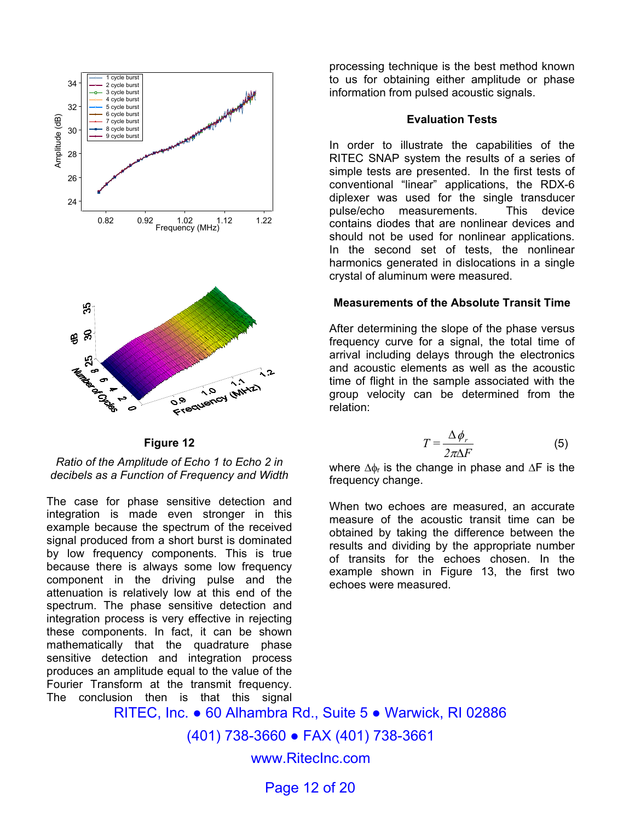

*Ratio of the Amplitude of Echo 1 to Echo 2 in decibels as a Function of Frequency and Width* 

The case for phase sensitive detection and integration is made even stronger in this example because the spectrum of the received signal produced from a short burst is dominated by low frequency components. This is true because there is always some low frequency component in the driving pulse and the attenuation is relatively low at this end of the spectrum. The phase sensitive detection and integration process is very effective in rejecting these components. In fact, it can be shown mathematically that the quadrature phase sensitive detection and integration process produces an amplitude equal to the value of the Fourier Transform at the transmit frequency. The conclusion then is that this signal

processing technique is the best method known to us for obtaining either amplitude or phase information from pulsed acoustic signals.

#### **Evaluation Tests**

In order to illustrate the capabilities of the RITEC SNAP system the results of a series of simple tests are presented. In the first tests of conventional "linear" applications, the RDX-6 diplexer was used for the single transducer pulse/echo measurements. This device contains diodes that are nonlinear devices and should not be used for nonlinear applications. In the second set of tests, the nonlinear harmonics generated in dislocations in a single crystal of aluminum were measured.

#### **Measurements of the Absolute Transit Time**

After determining the slope of the phase versus frequency curve for a signal, the total time of arrival including delays through the electronics and acoustic elements as well as the acoustic time of flight in the sample associated with the group velocity can be determined from the relation:

$$
T = \frac{\Delta \phi_r}{2\pi\Delta F}
$$
 (5)

where  $\Delta \phi_r$  is the change in phase and  $\Delta F$  is the frequency change.

When two echoes are measured, an accurate measure of the acoustic transit time can be obtained by taking the difference between the results and dividing by the appropriate number of transits for the echoes chosen. In the example shown in Figure 13, the first two echoes were measured.

RITEC, Inc. ● 60 Alhambra Rd., Suite 5 ● Warwick, RI 02886

(401) 738-3660 ● FAX (401) 738-3661

www.RitecInc.com

Page 12 of 20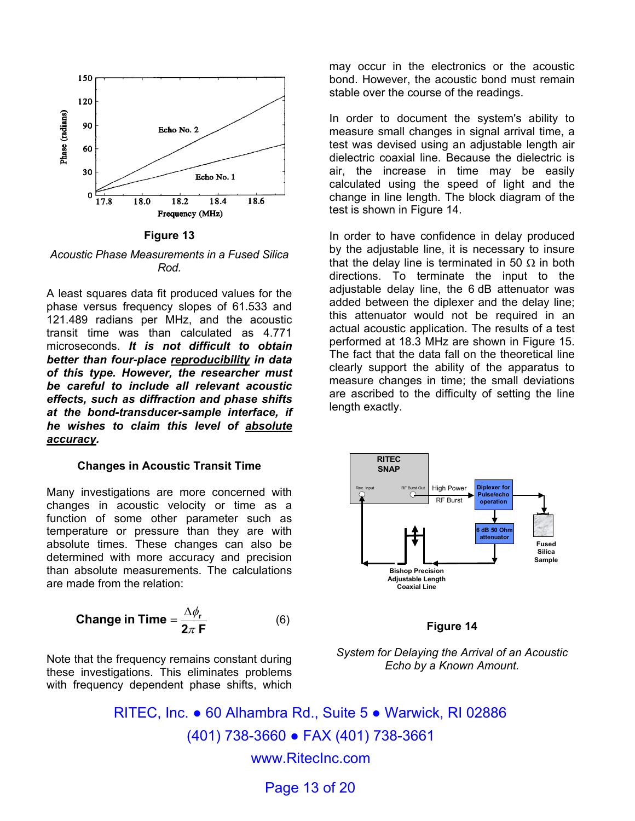

**Figure 13** 

*Acoustic Phase Measurements in a Fused Silica Rod.* 

A least squares data fit produced values for the phase versus frequency slopes of 61.533 and 121.489 radians per MHz, and the acoustic transit time was than calculated as 4.771 microseconds. *It is not difficult to obtain better than four-place reproducibility in data of this type. However, the researcher must be careful to include all relevant acoustic effects, such as diffraction and phase shifts at the bond-transducer-sample interface, if he wishes to claim this level of absolute accuracy.* 

#### **Changes in Acoustic Transit Time**

Many investigations are more concerned with changes in acoustic velocity or time as a function of some other parameter such as temperature or pressure than they are with absolute times. These changes can also be determined with more accuracy and precision than absolute measurements. The calculations are made from the relation:

**Change in Time** = 
$$
\frac{\Delta \phi_r}{2\pi F}
$$
 (6)

Note that the frequency remains constant during these investigations. This eliminates problems with frequency dependent phase shifts, which

may occur in the electronics or the acoustic bond. However, the acoustic bond must remain stable over the course of the readings.

In order to document the system's ability to measure small changes in signal arrival time, a test was devised using an adjustable length air dielectric coaxial line. Because the dielectric is air, the increase in time may be easily calculated using the speed of light and the change in line length. The block diagram of the test is shown in Figure 14.

In order to have confidence in delay produced by the adjustable line, it is necessary to insure that the delay line is terminated in 50  $\Omega$  in both directions. To terminate the input to the adjustable delay line, the 6 dB attenuator was added between the diplexer and the delay line; this attenuator would not be required in an actual acoustic application. The results of a test performed at 18.3 MHz are shown in Figure 15. The fact that the data fall on the theoretical line clearly support the ability of the apparatus to measure changes in time; the small deviations are ascribed to the difficulty of setting the line length exactly.



#### **Figure 14**



RITEC, Inc. ● 60 Alhambra Rd., Suite 5 ● Warwick, RI 02886 (401) 738-3660 ● FAX (401) 738-3661 www.RitecInc.com

Page 13 of 20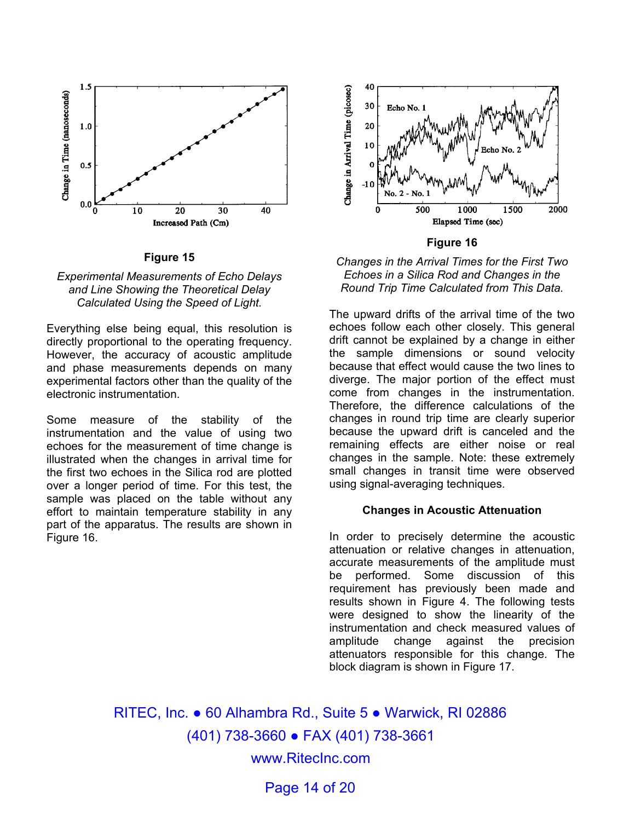



Everything else being equal, this resolution is directly proportional to the operating frequency. However, the accuracy of acoustic amplitude and phase measurements depends on many experimental factors other than the quality of the electronic instrumentation.

Some measure of the stability of the instrumentation and the value of using two echoes for the measurement of time change is illustrated when the changes in arrival time for the first two echoes in the Silica rod are plotted over a longer period of time. For this test, the sample was placed on the table without any effort to maintain temperature stability in any part of the apparatus. The results are shown in Figure 16.



**Figure 16**



The upward drifts of the arrival time of the two echoes follow each other closely. This general drift cannot be explained by a change in either the sample dimensions or sound velocity because that effect would cause the two lines to diverge. The major portion of the effect must come from changes in the instrumentation. Therefore, the difference calculations of the changes in round trip time are clearly superior because the upward drift is canceled and the remaining effects are either noise or real changes in the sample. Note: these extremely small changes in transit time were observed using signal-averaging techniques.

#### **Changes in Acoustic Attenuation**

In order to precisely determine the acoustic attenuation or relative changes in attenuation, accurate measurements of the amplitude must be performed. Some discussion of this requirement has previously been made and results shown in Figure 4. The following tests were designed to show the linearity of the instrumentation and check measured values of amplitude change against the precision attenuators responsible for this change. The block diagram is shown in Figure 17.

RITEC, Inc. ● 60 Alhambra Rd., Suite 5 ● Warwick, RI 02886 (401) 738-3660 ● FAX (401) 738-3661 www.RitecInc.com

Page 14 of 20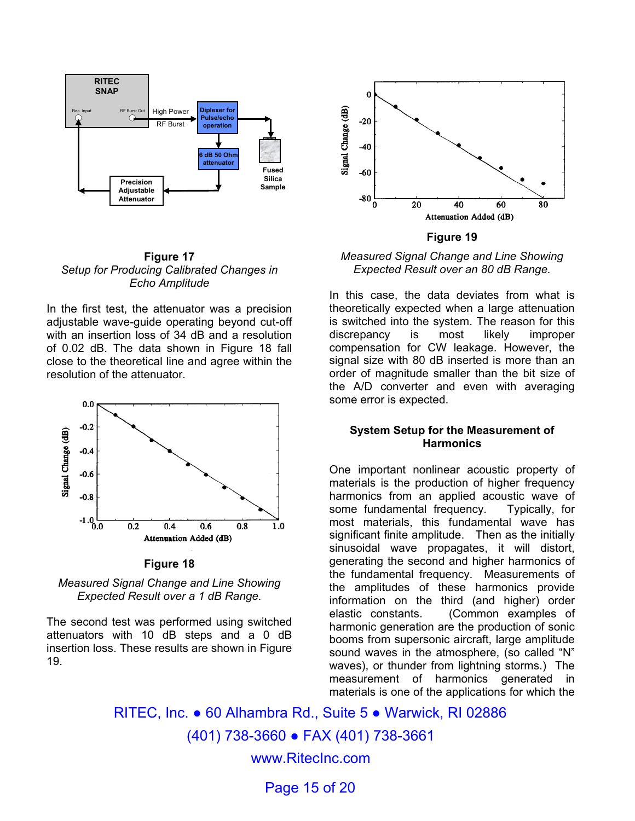



#### **Figure 17** *Setup for Producing Calibrated Changes in Echo Amplitude*

In the first test, the attenuator was a precision adjustable wave-guide operating beyond cut-off with an insertion loss of 34 dB and a resolution of 0.02 dB. The data shown in Figure 18 fall close to the theoretical line and agree within the resolution of the attenuator.



**Figure 18**



The second test was performed using switched attenuators with 10 dB steps and a 0 dB insertion loss. These results are shown in Figure 19.

*Measured Signal Change and Line Showing Expected Result over an 80 dB Range.* 

In this case, the data deviates from what is theoretically expected when a large attenuation is switched into the system. The reason for this discrepancy is most likely improper compensation for CW leakage. However, the signal size with 80 dB inserted is more than an order of magnitude smaller than the bit size of the A/D converter and even with averaging some error is expected.

#### **System Setup for the Measurement of Harmonics**

One important nonlinear acoustic property of materials is the production of higher frequency harmonics from an applied acoustic wave of some fundamental frequency. Typically, for most materials, this fundamental wave has significant finite amplitude. Then as the initially sinusoidal wave propagates, it will distort, generating the second and higher harmonics of the fundamental frequency. Measurements of the amplitudes of these harmonics provide information on the third (and higher) order elastic constants. (Common examples of harmonic generation are the production of sonic booms from supersonic aircraft, large amplitude sound waves in the atmosphere, (so called "N" waves), or thunder from lightning storms.) The measurement of harmonics generated in materials is one of the applications for which the

RITEC, Inc. ● 60 Alhambra Rd., Suite 5 ● Warwick, RI 02886 (401) 738-3660 ● FAX (401) 738-3661 www.RitecInc.com

Page 15 of 20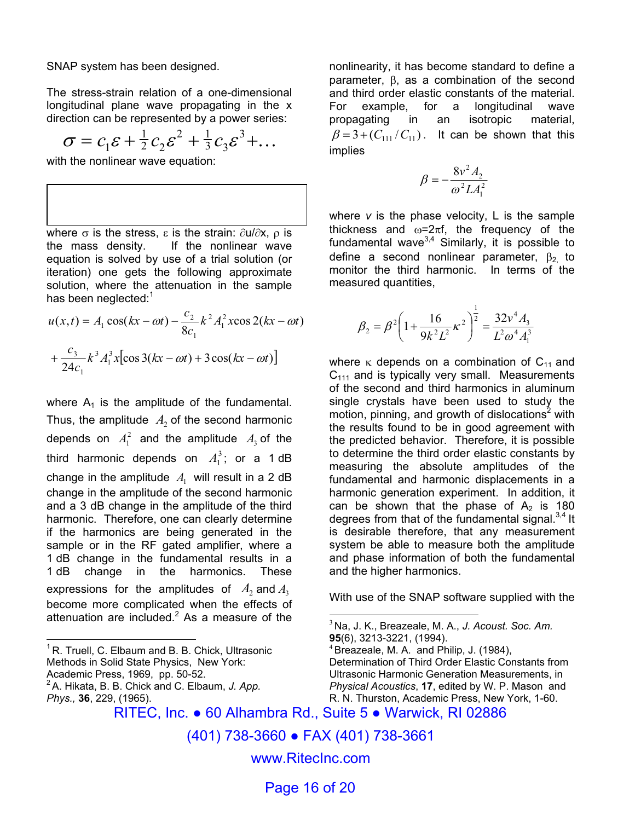SNAP system has been designed.

The stress-strain relation of a one-dimensional longitudinal plane wave propagating in the x direction can be represented by a power series:

$$
\sigma = c_1 \varepsilon + \frac{1}{2} c_2 \varepsilon^2 + \frac{1}{3} c_3 \varepsilon^3 + \dots
$$

with the nonlinear wave equation:

where  $\sigma$  is the stress, ε is the strain:  $\partial u/\partial x$ ,  $\rho$  is the mass density. If the nonlinear wave equation is solved by use of a trial solution (or iteration) one gets the following approximate solution, where the attenuation in the sample has been neglected: $1$ 

$$
u(x,t) = A_1 \cos(kx - \omega t) - \frac{c_2}{8c_1} k^2 A_1^2 x \cos 2(kx - \omega t)
$$
  
+ 
$$
\frac{c_3}{24c_1} k^3 A_1^3 x [\cos 3(kx - \omega t) + 3\cos(kx - \omega t)]
$$

where  $A_1$  is the amplitude of the fundamental. Thus, the amplitude  $A_2$  of the second harmonic depends on  $A_1^2$  and the amplitude  $A_3$  of the third harmonic depends on  $A_1^3$ ; or a 1 dB change in the amplitude  $A_1$  will result in a 2 dB change in the amplitude of the second harmonic and a 3 dB change in the amplitude of the third harmonic. Therefore, one can clearly determine if the harmonics are being generated in the sample or in the RF gated amplifier, where a 1 dB change in the fundamental results in a 1 dB change in the harmonics. These expressions for the amplitudes of  $A_2$  and  $A_3$ become more complicated when the effects of attenuation are included. $2$  As a measure of the

 $1$ R. Truell, C. Elbaum and B. B. Chick, Ultrasonic Methods in Solid State Physics, New York: Academic Press, 1969, pp. 50-52. 2A. Hikata, B. B. Chick and C. Elbaum, *J. App. Phys.,* **36**, 229, (1965).

 $\overline{a}$ 

nonlinearity, it has become standard to define a parameter, β, as a combination of the second and third order elastic constants of the material. For example, for a longitudinal wave propagating in an isotropic material,  $\beta = 3 + (C_{11}/C_{11})$ . It can be shown that this implies

$$
\beta = -\frac{8v^2 A_2}{\omega^2 L A_1^2}
$$

where *v* is the phase velocity, L is the sample thickness and  $\omega=2\pi f$ , the frequency of the fundamental wave $^{3,4}$  Similarly, it is possible to define a second nonlinear parameter,  $\beta_2$  to monitor the third harmonic. In terms of the measured quantities,

$$
\beta_2 = \beta^2 \left( 1 + \frac{16}{9k^2 L^2} \kappa^2 \right)^{\frac{1}{2}} = \frac{32v^4 A_3}{L^2 \omega^4 A_1^3}
$$

where  $\kappa$  depends on a combination of C<sub>11</sub> and  $C<sub>111</sub>$  and is typically very small. Measurements of the second and third harmonics in aluminum single crystals have been used to study the motion, pinning, and growth of dislocations<sup>2</sup> with the results found to be in good agreement with the predicted behavior. Therefore, it is possible to determine the third order elastic constants by measuring the absolute amplitudes of the fundamental and harmonic displacements in a harmonic generation experiment. In addition, it can be shown that the phase of  $A_2$  is 180 degrees from that of the fundamental signal. $3,4$  It is desirable therefore, that any measurement system be able to measure both the amplitude and phase information of both the fundamental and the higher harmonics.

With use of the SNAP software supplied with the

 $4$  Breazeale, M. A. and Philip, J. (1984), Determination of Third Order Elastic Constants from Ultrasonic Harmonic Generation Measurements, in *Physical Acoustics*, **17**, edited by W. P. Mason and R. N. Thurston, Academic Press, New York, 1-60.

RITEC, Inc. ● 60 Alhambra Rd., Suite 5 ● Warwick, RI 02886

 $\overline{a}$ 

(401) 738-3660 ● FAX (401) 738-3661

www.RitecInc.com

Page 16 of 20

<sup>3</sup>Na, J. K., Breazeale, M. A., *J. Acoust. Soc. Am.* **95**(6), 3213-3221, (1994).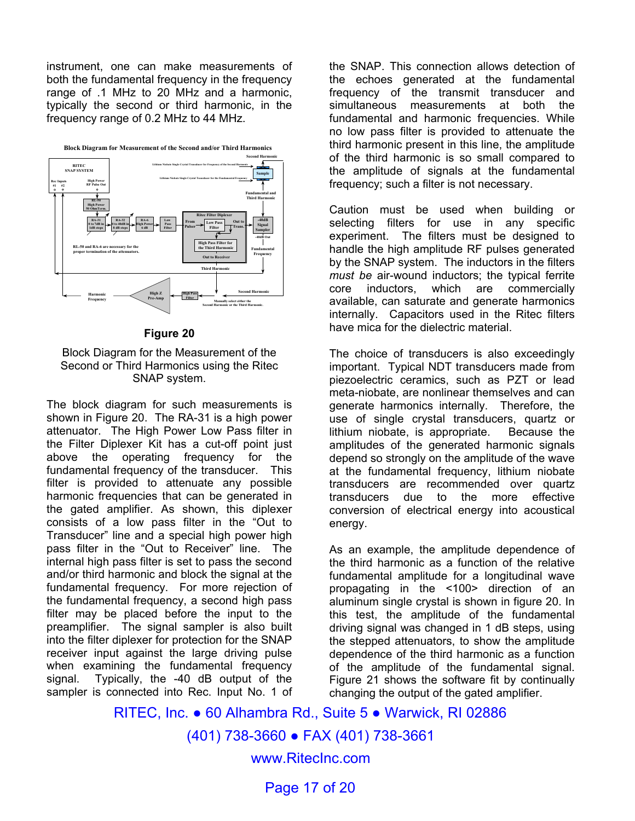instrument, one can make measurements of both the fundamental frequency in the frequency range of .1 MHz to 20 MHz and a harmonic, typically the second or third harmonic, in the frequency range of 0.2 MHz to 44 MHz.



#### **Figure 20**

#### Block Diagram for the Measurement of the Second or Third Harmonics using the Ritec SNAP system.

The block diagram for such measurements is shown in Figure 20. The RA-31 is a high power attenuator. The High Power Low Pass filter in the Filter Diplexer Kit has a cut-off point just above the operating frequency for the fundamental frequency of the transducer. This filter is provided to attenuate any possible harmonic frequencies that can be generated in the gated amplifier. As shown, this diplexer consists of a low pass filter in the "Out to Transducer" line and a special high power high pass filter in the "Out to Receiver" line. The internal high pass filter is set to pass the second and/or third harmonic and block the signal at the fundamental frequency. For more rejection of the fundamental frequency, a second high pass filter may be placed before the input to the preamplifier. The signal sampler is also built into the filter diplexer for protection for the SNAP receiver input against the large driving pulse when examining the fundamental frequency signal. Typically, the -40 dB output of the sampler is connected into Rec. Input No. 1 of

the SNAP. This connection allows detection of the echoes generated at the fundamental frequency of the transmit transducer and simultaneous measurements at both the fundamental and harmonic frequencies. While no low pass filter is provided to attenuate the third harmonic present in this line, the amplitude of the third harmonic is so small compared to the amplitude of signals at the fundamental frequency; such a filter is not necessary.

Caution must be used when building or selecting filters for use in any specific experiment. The filters must be designed to handle the high amplitude RF pulses generated by the SNAP system. The inductors in the filters *must be* air-wound inductors; the typical ferrite core inductors, which are commercially available, can saturate and generate harmonics internally. Capacitors used in the Ritec filters have mica for the dielectric material.

The choice of transducers is also exceedingly important. Typical NDT transducers made from piezoelectric ceramics, such as PZT or lead meta-niobate, are nonlinear themselves and can generate harmonics internally. Therefore, the use of single crystal transducers, quartz or lithium niobate, is appropriate. Because the amplitudes of the generated harmonic signals depend so strongly on the amplitude of the wave at the fundamental frequency, lithium niobate transducers are recommended over quartz transducers due to the more effective conversion of electrical energy into acoustical energy.

As an example, the amplitude dependence of the third harmonic as a function of the relative fundamental amplitude for a longitudinal wave propagating in the <100> direction of an aluminum single crystal is shown in figure 20. In this test, the amplitude of the fundamental driving signal was changed in 1 dB steps, using the stepped attenuators, to show the amplitude dependence of the third harmonic as a function of the amplitude of the fundamental signal. Figure 21 shows the software fit by continually changing the output of the gated amplifier.

RITEC, Inc. ● 60 Alhambra Rd., Suite 5 ● Warwick, RI 02886 (401) 738-3660 ● FAX (401) 738-3661 www.RitecInc.com Page 17 of 20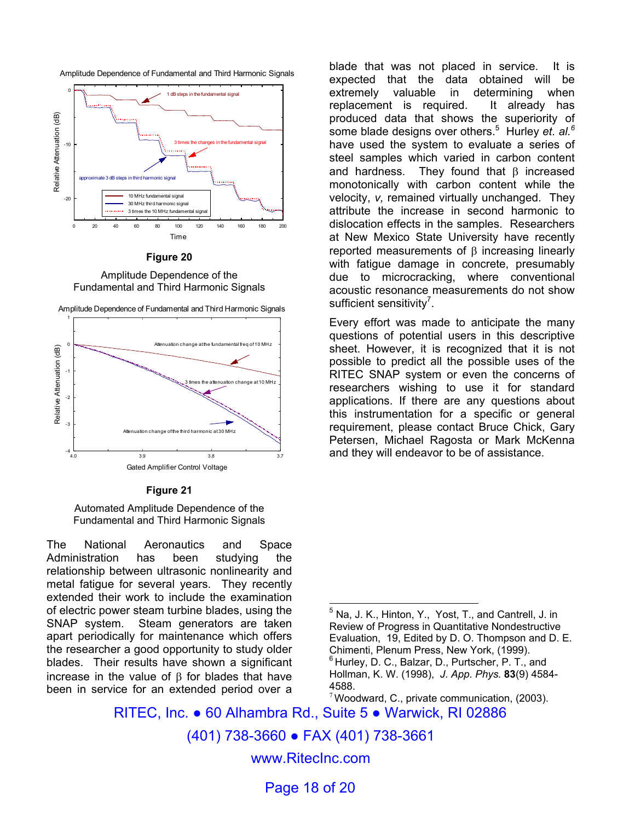



**Figure 20** 

Amplitude Dependence of the Fundamental and Third Harmonic Signals





**Figure 21** 

Automated Amplitude Dependence of the Fundamental and Third Harmonic Signals

The National Aeronautics and Space Administration has been studying the relationship between ultrasonic nonlinearity and metal fatigue for several years. They recently extended their work to include the examination of electric power steam turbine blades, using the SNAP system. Steam generators are taken apart periodically for maintenance which offers the researcher a good opportunity to study older blades. Their results have shown a significant increase in the value of β for blades that have been in service for an extended period over a

blade that was not placed in service. It is expected that the data obtained will be extremely valuable in determining when replacement is required. It already has produced data that shows the superiority of some blade designs over others.<sup>5</sup> Hurley *et. al.<sup>6</sup>* have used the system to evaluate a series of steel samples which varied in carbon content and hardness. They found that  $\beta$  increased monotonically with carbon content while the velocity, *v,* remained virtually unchanged. They attribute the increase in second harmonic to dislocation effects in the samples. Researchers at New Mexico State University have recently reported measurements of β increasing linearly with fatigue damage in concrete, presumably due to microcracking, where conventional acoustic resonance measurements do not show sufficient sensitivity<sup>7</sup>.

Every effort was made to anticipate the many questions of potential users in this descriptive sheet. However, it is recognized that it is not possible to predict all the possible uses of the RITEC SNAP system or even the concerns of researchers wishing to use it for standard applications. If there are any questions about this instrumentation for a specific or general requirement, please contact Bruce Chick, Gary Petersen, Michael Ragosta or Mark McKenna and they will endeavor to be of assistance.

RITEC, Inc. ● 60 Alhambra Rd., Suite 5 ● Warwick, RI 02886

 $\overline{\phantom{a}}$ 

(401) 738-3660 ● FAX (401) 738-3661

www.RitecInc.com

Page 18 of 20

 $<sup>5</sup>$  Na, J. K., Hinton, Y., Yost, T., and Cantrell, J. in</sup> Review of Progress in Quantitative Nondestructive Evaluation, 19, Edited by D. O. Thompson and D. E. Chimenti, Plenum Press, New York, (1999).  $6$  Hurley, D. C., Balzar, D., Purtscher, P. T., and Hollman, K. W. (1998), *J. App. Phys.* **83**(9) 4584- 4588.

 $7$  Woodward, C., private communication, (2003).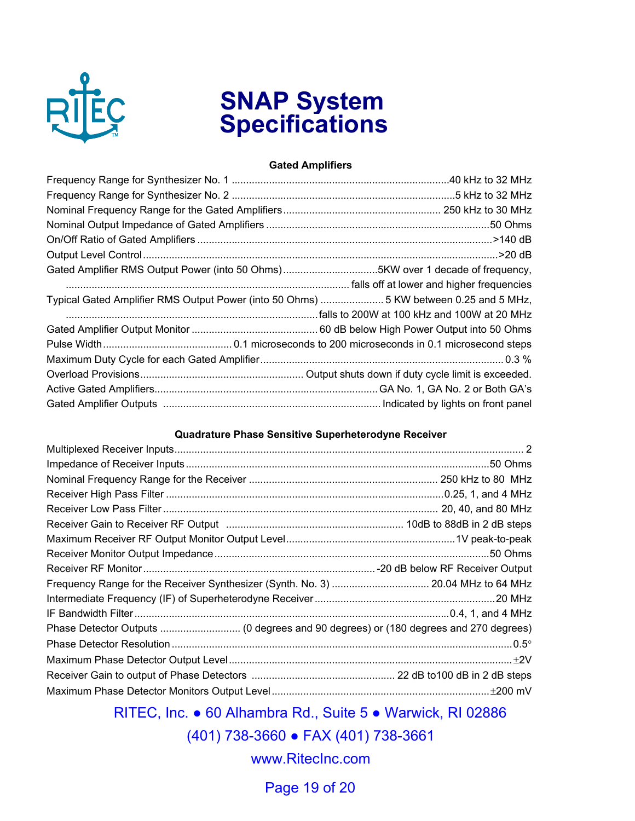

# **SNAP System Specifications**

#### **Gated Amplifiers**

#### **Quadrature Phase Sensitive Superheterodyne Receiver**

RITEC, Inc. ● 60 Alhambra Rd., Suite 5 ● Warwick, RI 02886

(401) 738-3660 ● FAX (401) 738-3661

www.RitecInc.com

Page 19 of 20